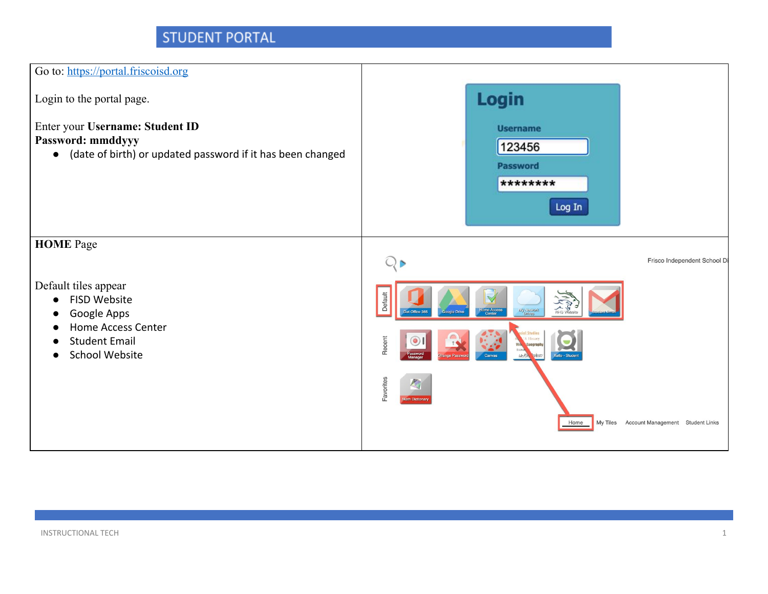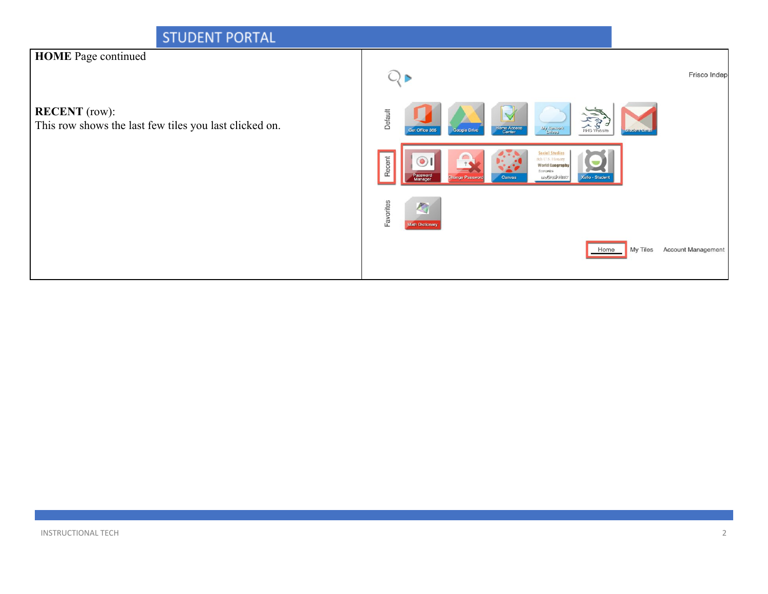#### STUDENT PORTAL **HOME** Page continued  $Q_{\triangleright}$ Frisco Indep **RECENT** (row): Default This row shows the last few tiles you last clicked on. 一个 Stewert VM<br>sevitd t Office 365 oogle Drive Social Studies<br>Sch U.S. History<br>World Geograph Economics<br>Me Brasylight Favorites

My Tiles Account Management

Home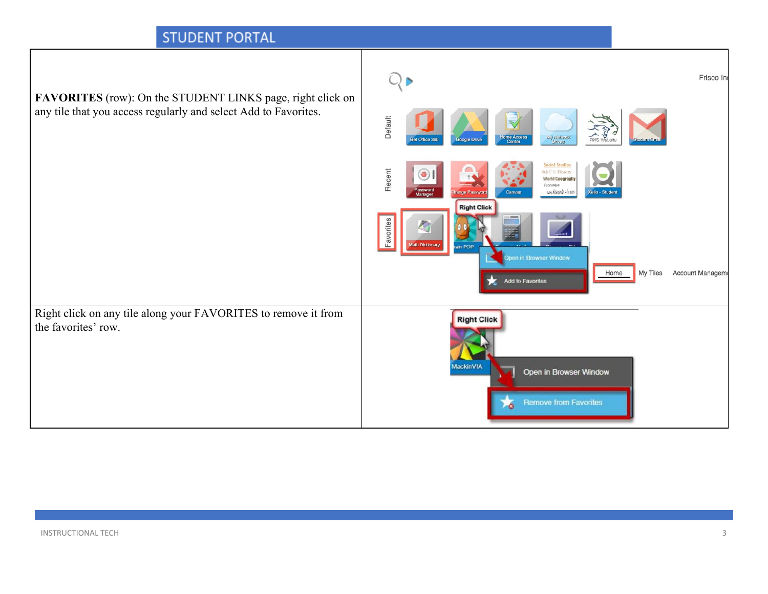| FAVORITES (row): On the STUDENT LINKS page, right click on                            |                                                                                                                                                                                      | Frisco Ind       |
|---------------------------------------------------------------------------------------|--------------------------------------------------------------------------------------------------------------------------------------------------------------------------------------|------------------|
| any tile that you access regularly and select Add to Favorites.                       | Default<br><b>A</b> S<br>My Nework<br>Brives<br>Home Access<br>Google Drive<br><b>Get Office 365</b>                                                                                 |                  |
|                                                                                       | <b>Social Studios</b><br>Recent<br>8th U.S. History<br>$\circledcirc$<br><b>World Geograph</b><br>Economics<br>Password<br>Manager<br>MeGrayhphus<br>Canvas<br><b>Cello - Studer</b> |                  |
|                                                                                       | <b>Right Click</b><br>Favorites<br>lath Dictionary<br>ain POP<br>Open in Browser Window<br>My Tiles<br>Home<br>Add to Favorites                                                      | Account Manageme |
| Right click on any tile along your FAVORITES to remove it from<br>the favorites' row. | <b>Right Click</b><br>MackinVIA<br>Open in Browser Window<br><b>Remove from Favorites</b><br>A                                                                                       |                  |

┑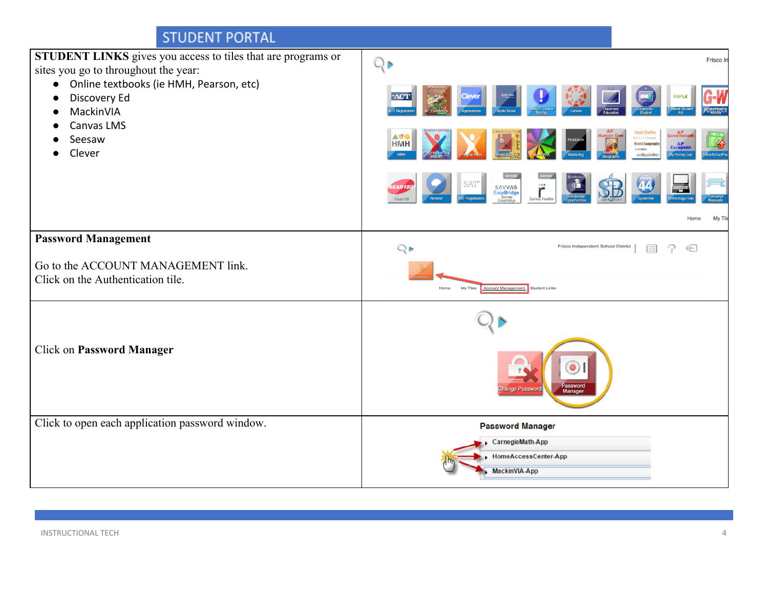| STUDENT LINKS gives you access to tiles that are programs or<br>sites you go to throughout the year: | $Q \triangleright$                                                                                                              | Frisco In       |
|------------------------------------------------------------------------------------------------------|---------------------------------------------------------------------------------------------------------------------------------|-----------------|
| Online textbooks (ie HMH, Pearson, etc)<br>$\bullet$<br>Discovery Ed<br>MackinVIA                    | <b>ACT</b>                                                                                                                      | <b>FAFSA</b>    |
| Canvas LMS<br>Seesaw<br>Clever                                                                       | Social Studies<br>AV 0<br>8th U.S. History<br>EARSON<br><b>HMH</b><br><b>World Geography</b><br>Economics<br>McCrawFills        | ly History Lat  |
|                                                                                                      | SAT<br>۳<br>SAVVAS<br>EasyBridge<br>Sayyas<br>EasyBridge<br>AD <sub>18</sub><br><b>AT Registrat</b><br>Savvas Realiz<br>Reached |                 |
|                                                                                                      |                                                                                                                                 | My Tile<br>Home |
| <b>Password Management</b>                                                                           | $Q \triangleright$<br>Frisco Independent School District<br>$\equiv$                                                            | 는               |
| Go to the ACCOUNT MANAGEMENT link.<br>Click on the Authentication tile.                              | My Tiles<br>Account Manag<br><b>Student Links</b><br>Home                                                                       |                 |
|                                                                                                      |                                                                                                                                 |                 |
| Click on Password Manager                                                                            | O<br>Password<br>Manager                                                                                                        |                 |
| Click to open each application password window.                                                      | <b>Password Manager</b>                                                                                                         |                 |
|                                                                                                      | CarnegieMath-App<br>HomeAccessCenter-App                                                                                        |                 |
|                                                                                                      | MackinVIA-App                                                                                                                   |                 |